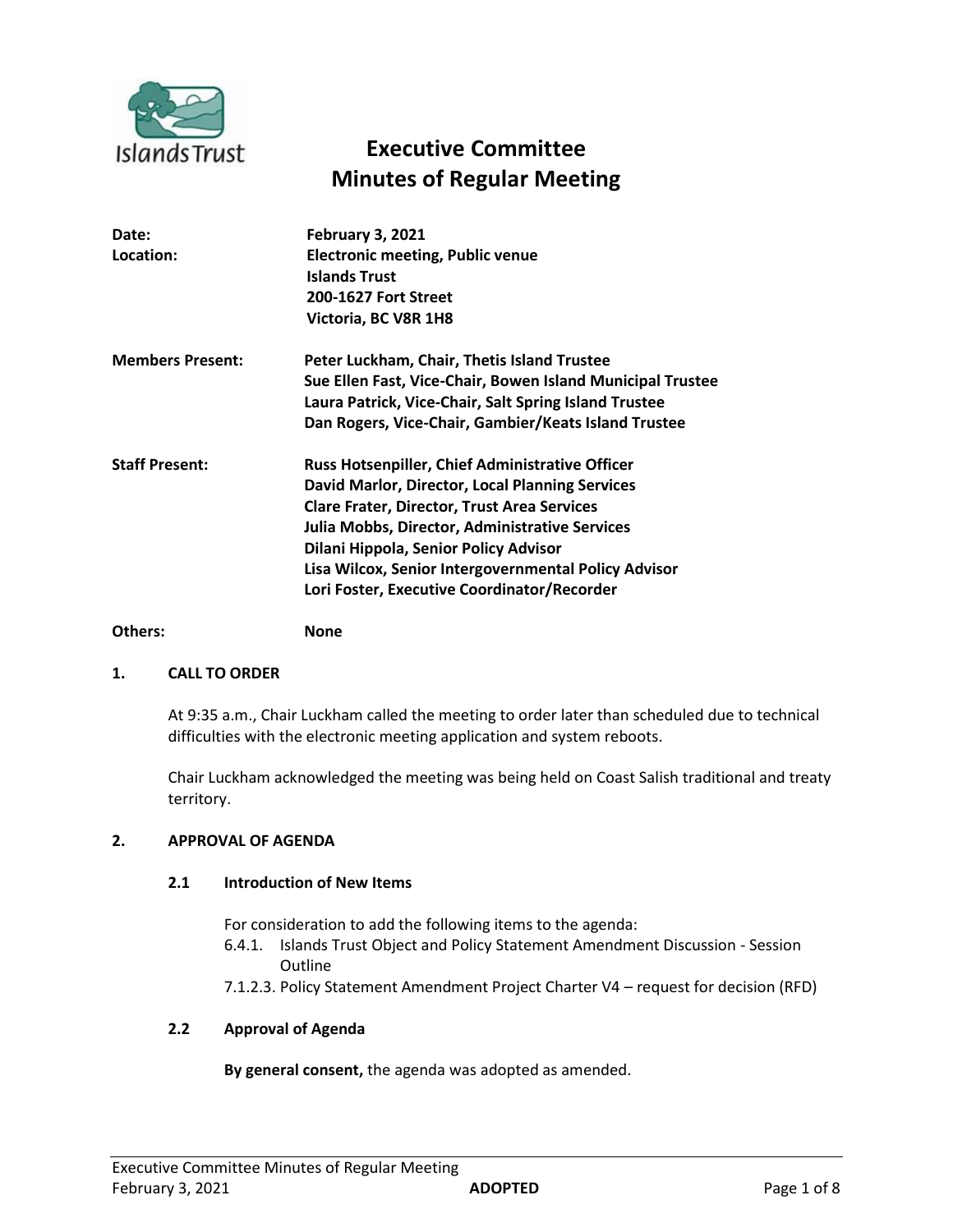

# **Executive Committee Minutes of Regular Meeting**

| Date:<br>Location:      | <b>February 3, 2021</b><br><b>Electronic meeting, Public venue</b><br><b>Islands Trust</b><br>200-1627 Fort Street<br>Victoria, BC V8R 1H8                                                                                                                                                                                                                        |
|-------------------------|-------------------------------------------------------------------------------------------------------------------------------------------------------------------------------------------------------------------------------------------------------------------------------------------------------------------------------------------------------------------|
| <b>Members Present:</b> | Peter Luckham, Chair, Thetis Island Trustee<br>Sue Ellen Fast, Vice-Chair, Bowen Island Municipal Trustee<br>Laura Patrick, Vice-Chair, Salt Spring Island Trustee<br>Dan Rogers, Vice-Chair, Gambier/Keats Island Trustee                                                                                                                                        |
| <b>Staff Present:</b>   | <b>Russ Hotsenpiller, Chief Administrative Officer</b><br>David Marlor, Director, Local Planning Services<br><b>Clare Frater, Director, Trust Area Services</b><br>Julia Mobbs, Director, Administrative Services<br>Dilani Hippola, Senior Policy Advisor<br>Lisa Wilcox, Senior Intergovernmental Policy Advisor<br>Lori Foster, Executive Coordinator/Recorder |

# **Others: None**

# **1. CALL TO ORDER**

At 9:35 a.m., Chair Luckham called the meeting to order later than scheduled due to technical difficulties with the electronic meeting application and system reboots.

Chair Luckham acknowledged the meeting was being held on Coast Salish traditional and treaty territory.

# **2. APPROVAL OF AGENDA**

# **2.1 Introduction of New Items**

For consideration to add the following items to the agenda:

- 6.4.1. Islands Trust Object and Policy Statement Amendment Discussion Session Outline
- 7.1.2.3. Policy Statement Amendment Project Charter V4 request for decision (RFD)

# **2.2 Approval of Agenda**

**By general consent,** the agenda was adopted as amended.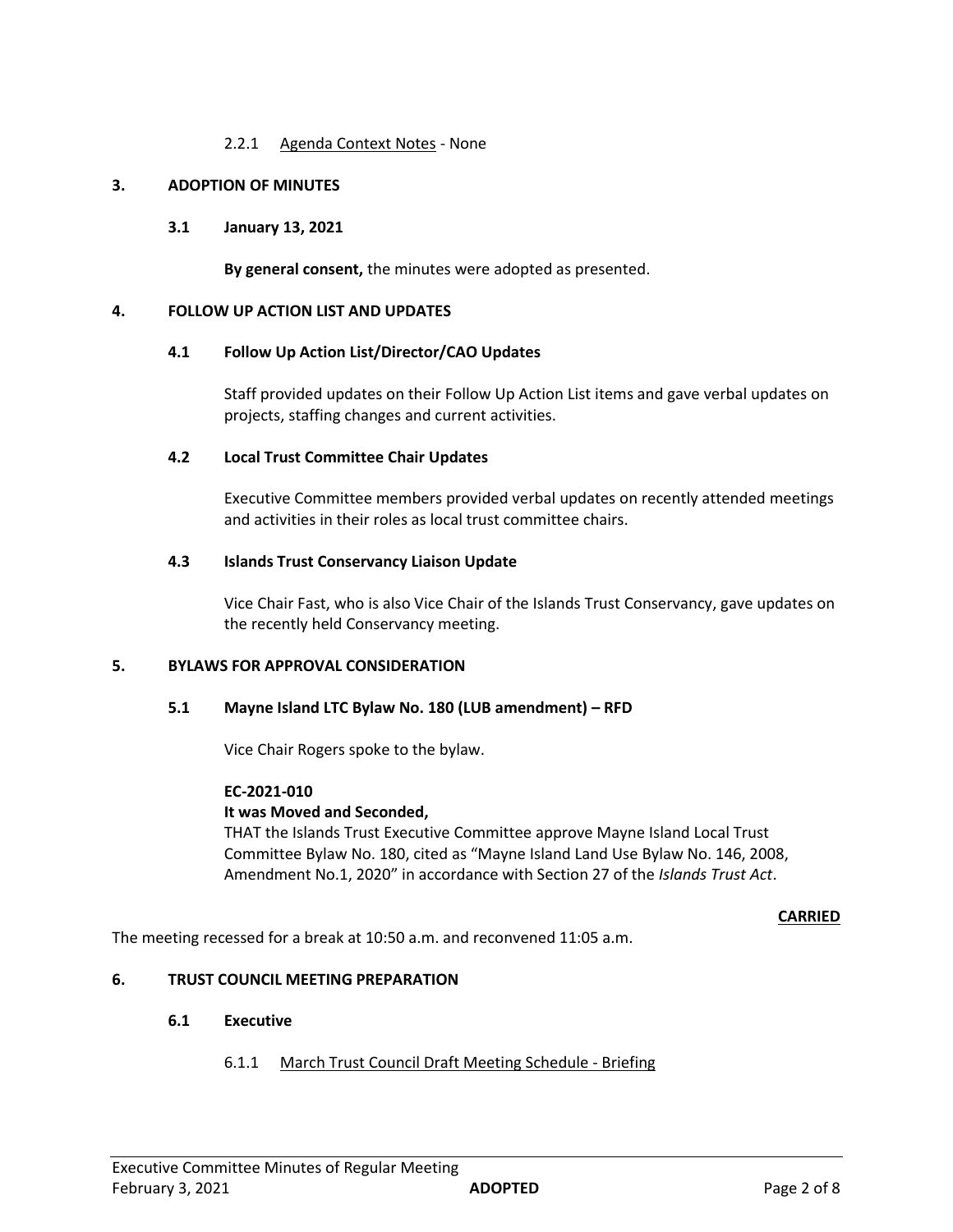# 2.2.1 Agenda Context Notes - None

# **3. ADOPTION OF MINUTES**

# **3.1 January 13, 2021**

**By general consent,** the minutes were adopted as presented.

# **4. FOLLOW UP ACTION LIST AND UPDATES**

# **4.1 Follow Up Action List/Director/CAO Updates**

Staff provided updates on their Follow Up Action List items and gave verbal updates on projects, staffing changes and current activities.

#### **4.2 Local Trust Committee Chair Updates**

Executive Committee members provided verbal updates on recently attended meetings and activities in their roles as local trust committee chairs.

# **4.3 Islands Trust Conservancy Liaison Update**

Vice Chair Fast, who is also Vice Chair of the Islands Trust Conservancy, gave updates on the recently held Conservancy meeting.

# **5. BYLAWS FOR APPROVAL CONSIDERATION**

# **5.1 Mayne Island LTC Bylaw No. 180 (LUB amendment) – RFD**

Vice Chair Rogers spoke to the bylaw.

# **EC-2021-010**

# **It was Moved and Seconded,**

THAT the Islands Trust Executive Committee approve Mayne Island Local Trust Committee Bylaw No. 180, cited as "Mayne Island Land Use Bylaw No. 146, 2008, Amendment No.1, 2020" in accordance with Section 27 of the *Islands Trust Act*.

#### **CARRIED**

The meeting recessed for a break at 10:50 a.m. and reconvened 11:05 a.m.

# **6. TRUST COUNCIL MEETING PREPARATION**

# **6.1 Executive**

# 6.1.1 March Trust Council Draft Meeting Schedule - Briefing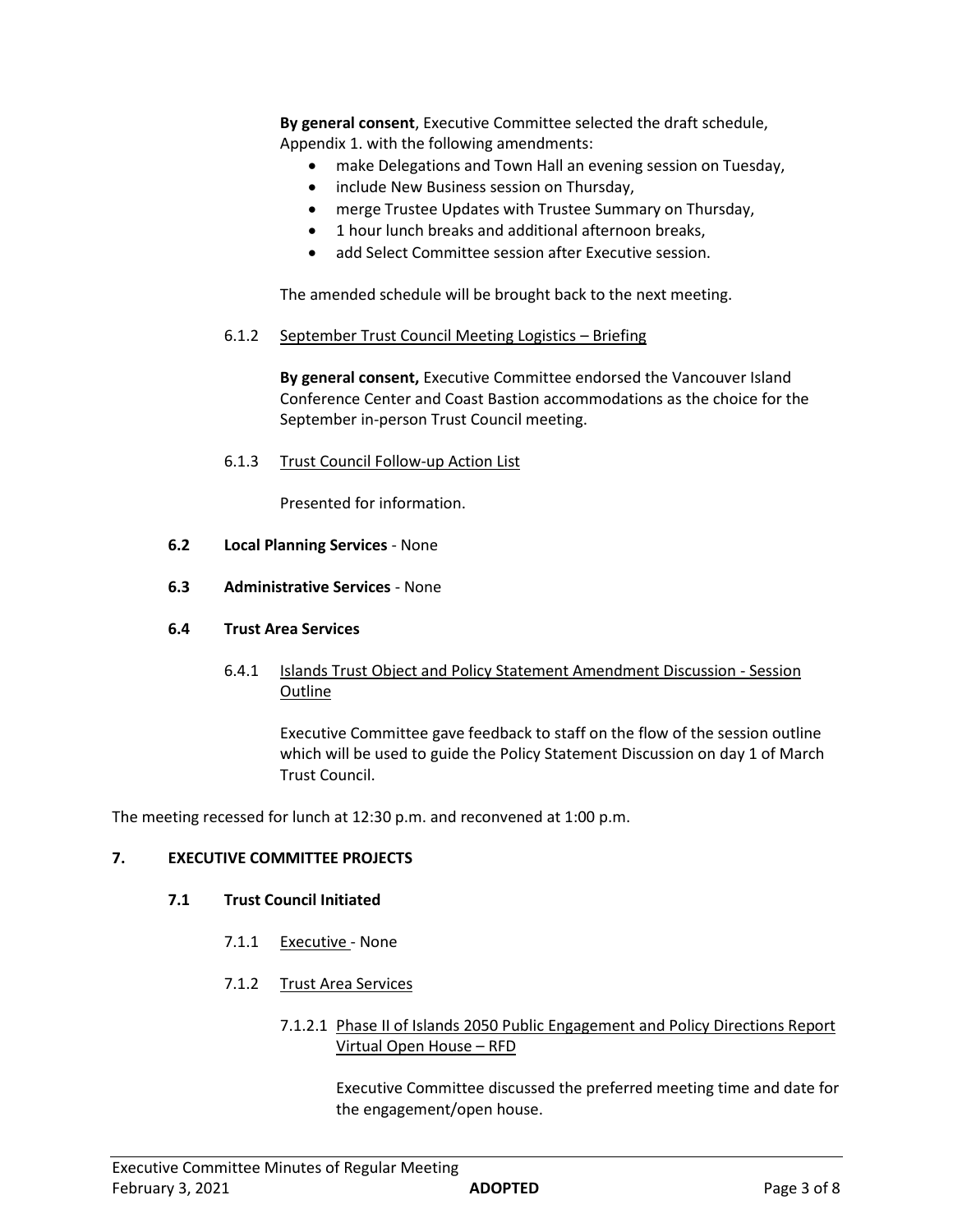**By general consent**, Executive Committee selected the draft schedule, Appendix 1. with the following amendments:

- make Delegations and Town Hall an evening session on Tuesday,
- include New Business session on Thursday,
- merge Trustee Updates with Trustee Summary on Thursday,
- 1 hour lunch breaks and additional afternoon breaks,
- add Select Committee session after Executive session.

The amended schedule will be brought back to the next meeting.

6.1.2 September Trust Council Meeting Logistics – Briefing

**By general consent,** Executive Committee endorsed the Vancouver Island Conference Center and Coast Bastion accommodations as the choice for the September in-person Trust Council meeting.

6.1.3 Trust Council Follow-up Action List

Presented for information.

- **6.2 Local Planning Services**  None
- **6.3 Administrative Services**  None

# **6.4 Trust Area Services**

6.4.1 Islands Trust Object and Policy Statement Amendment Discussion - Session Outline

Executive Committee gave feedback to staff on the flow of the session outline which will be used to guide the Policy Statement Discussion on day 1 of March Trust Council.

The meeting recessed for lunch at 12:30 p.m. and reconvened at 1:00 p.m.

# **7. EXECUTIVE COMMITTEE PROJECTS**

# **7.1 Trust Council Initiated**

- 7.1.1 Executive None
- 7.1.2 Trust Area Services
	- 7.1.2.1 Phase II of Islands 2050 Public Engagement and Policy Directions Report Virtual Open House – RFD

Executive Committee discussed the preferred meeting time and date for the engagement/open house.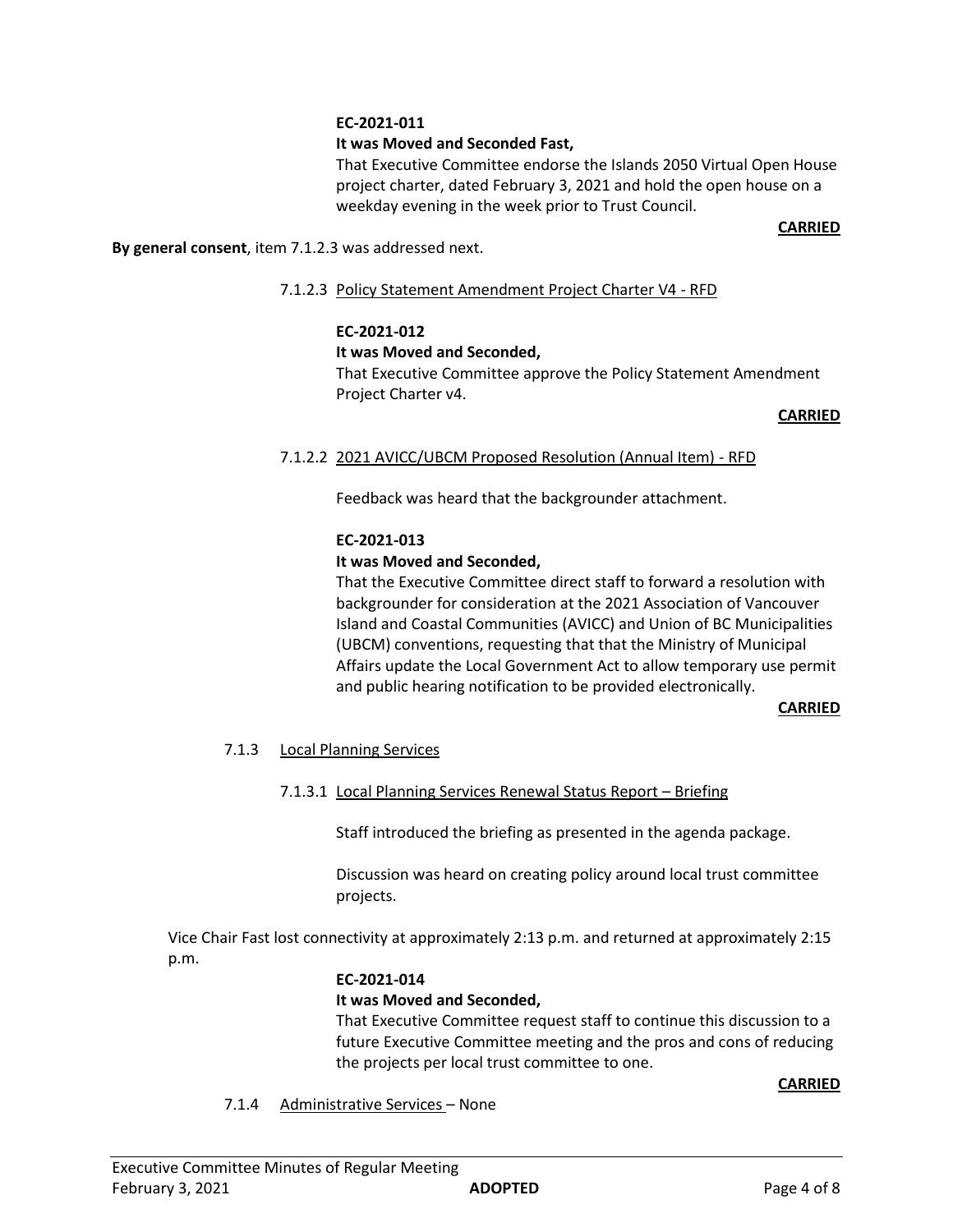# **EC-2021-011**

# **It was Moved and Seconded Fast,**

That Executive Committee endorse the Islands 2050 Virtual Open House project charter, dated February 3, 2021 and hold the open house on a weekday evening in the week prior to Trust Council.

#### **CARRIED**

**By general consent**, item 7.1.2.3 was addressed next.

7.1.2.3 Policy Statement Amendment Project Charter V4 - RFD

# **EC-2021-012**

# **It was Moved and Seconded,**

That Executive Committee approve the Policy Statement Amendment Project Charter v4.

#### **CARRIED**

# 7.1.2.2 2021 AVICC/UBCM Proposed Resolution (Annual Item) - RFD

Feedback was heard that the backgrounder attachment.

# **EC-2021-013**

# **It was Moved and Seconded,**

That the Executive Committee direct staff to forward a resolution with backgrounder for consideration at the 2021 Association of Vancouver Island and Coastal Communities (AVICC) and Union of BC Municipalities (UBCM) conventions, requesting that that the Ministry of Municipal Affairs update the Local Government Act to allow temporary use permit and public hearing notification to be provided electronically.

#### **CARRIED**

# 7.1.3 Local Planning Services

# 7.1.3.1 Local Planning Services Renewal Status Report – Briefing

Staff introduced the briefing as presented in the agenda package.

Discussion was heard on creating policy around local trust committee projects.

Vice Chair Fast lost connectivity at approximately 2:13 p.m. and returned at approximately 2:15 p.m.

# **EC-2021-014**

# **It was Moved and Seconded,**

That Executive Committee request staff to continue this discussion to a future Executive Committee meeting and the pros and cons of reducing the projects per local trust committee to one.

#### **CARRIED**

7.1.4 Administrative Services – None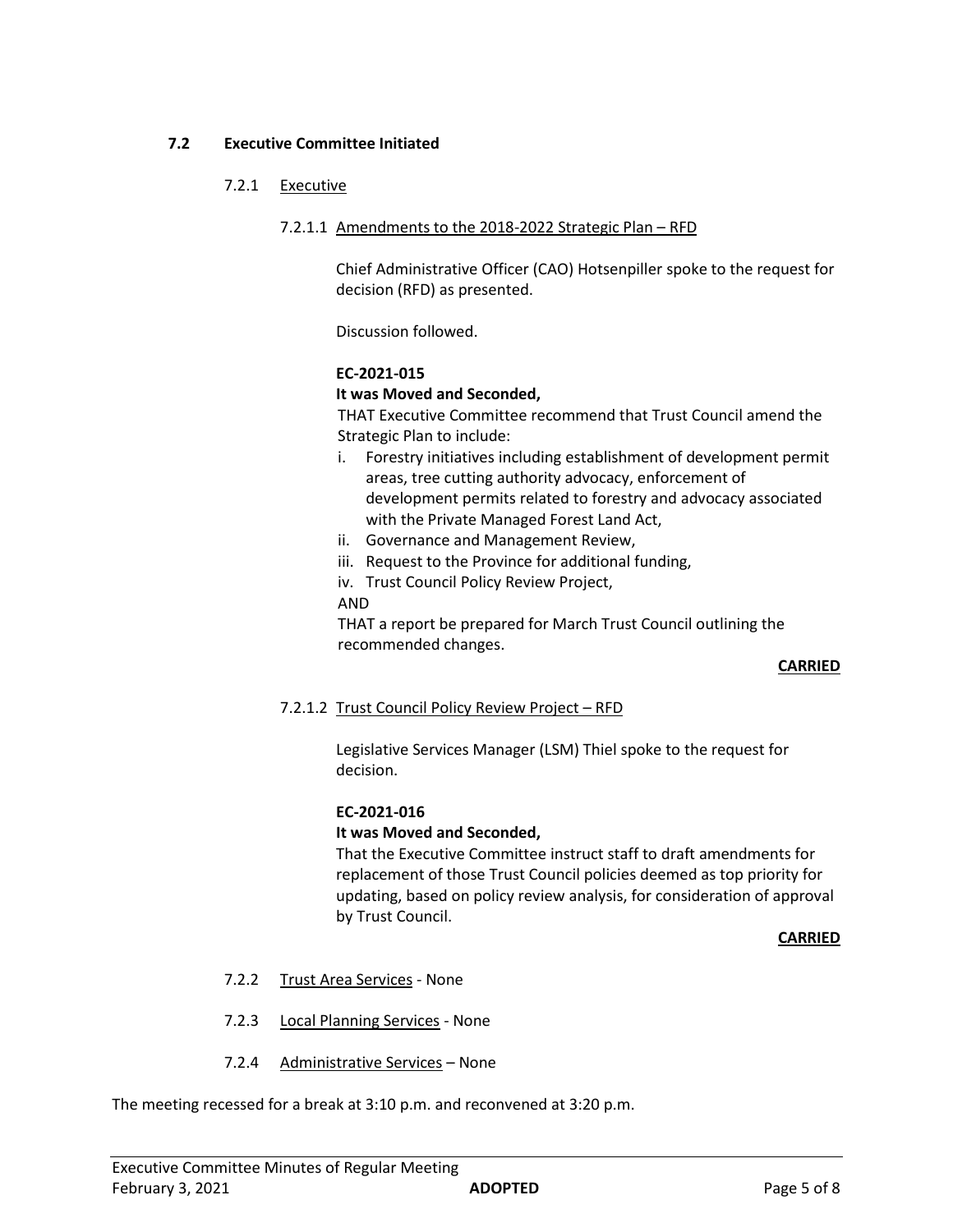# **7.2 Executive Committee Initiated**

# 7.2.1 Executive

### 7.2.1.1 Amendments to the 2018-2022 Strategic Plan – RFD

Chief Administrative Officer (CAO) Hotsenpiller spoke to the request for decision (RFD) as presented.

Discussion followed.

#### **EC-2021-015**

#### **It was Moved and Seconded,**

THAT Executive Committee recommend that Trust Council amend the Strategic Plan to include:

- i. Forestry initiatives including establishment of development permit areas, tree cutting authority advocacy, enforcement of development permits related to forestry and advocacy associated with the Private Managed Forest Land Act,
- ii. Governance and Management Review,
- iii. Request to the Province for additional funding,
- iv. Trust Council Policy Review Project,

#### AND

THAT a report be prepared for March Trust Council outlining the recommended changes.

# **CARRIED**

# 7.2.1.2 Trust Council Policy Review Project – RFD

Legislative Services Manager (LSM) Thiel spoke to the request for decision.

# **EC-2021-016**

#### **It was Moved and Seconded,**

That the Executive Committee instruct staff to draft amendments for replacement of those Trust Council policies deemed as top priority for updating, based on policy review analysis, for consideration of approval by Trust Council.

**CARRIED**

- 7.2.2 Trust Area Services None
- 7.2.3 Local Planning Services None
- 7.2.4 Administrative Services None

The meeting recessed for a break at 3:10 p.m. and reconvened at 3:20 p.m.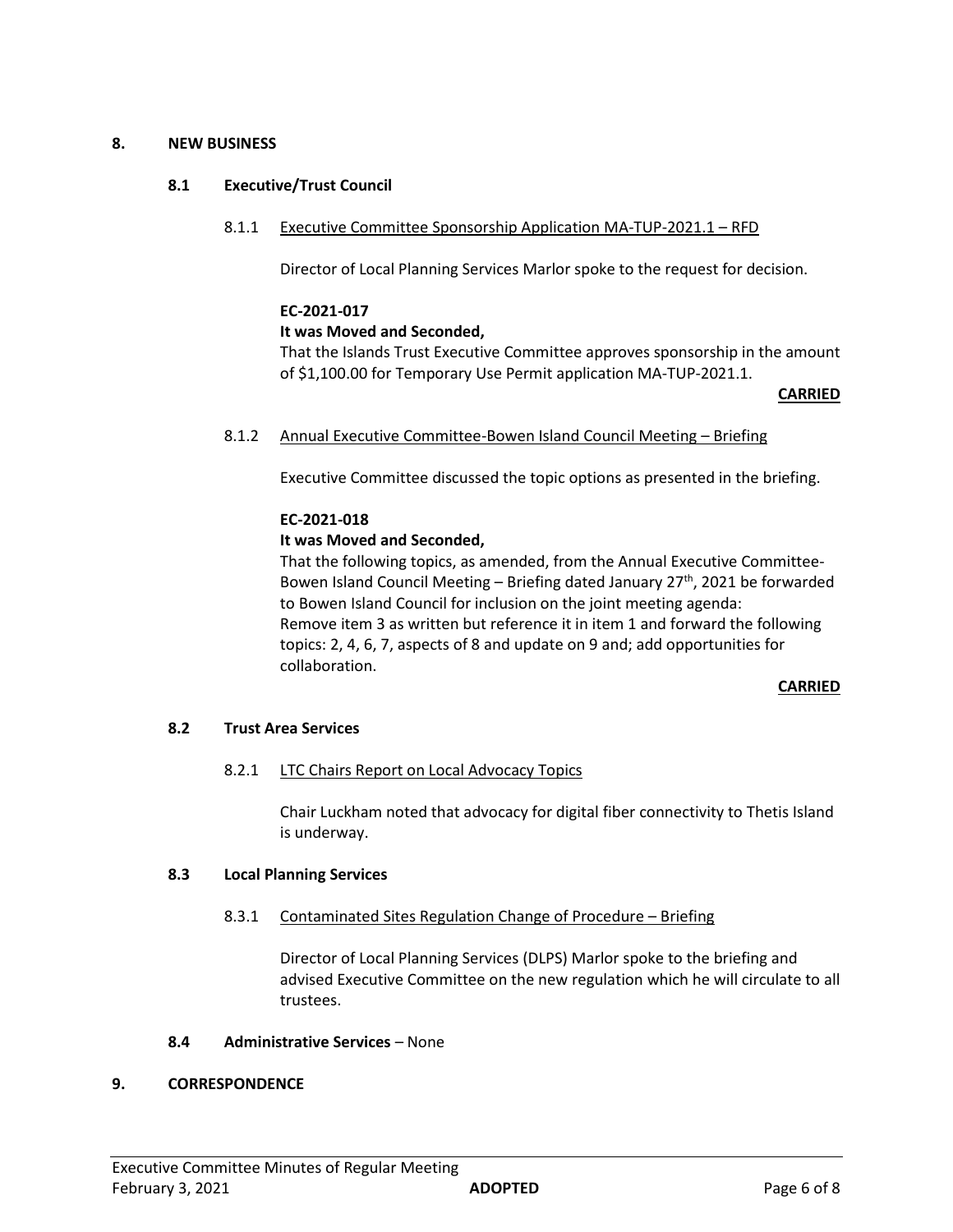# **8. NEW BUSINESS**

# **8.1 Executive/Trust Council**

8.1.1 Executive Committee Sponsorship Application MA-TUP-2021.1 – RFD

Director of Local Planning Services Marlor spoke to the request for decision.

# **EC-2021-017**

# **It was Moved and Seconded,**

That the Islands Trust Executive Committee approves sponsorship in the amount of \$1,100.00 for Temporary Use Permit application MA-TUP-2021.1.

#### **CARRIED**

8.1.2 Annual Executive Committee-Bowen Island Council Meeting – Briefing

Executive Committee discussed the topic options as presented in the briefing.

# **EC-2021-018**

# **It was Moved and Seconded,**

That the following topics, as amended, from the Annual Executive Committee-Bowen Island Council Meeting – Briefing dated January  $27<sup>th</sup>$ , 2021 be forwarded to Bowen Island Council for inclusion on the joint meeting agenda: Remove item 3 as written but reference it in item 1 and forward the following topics: 2, 4, 6, 7, aspects of 8 and update on 9 and; add opportunities for collaboration.

# **CARRIED**

# **8.2 Trust Area Services**

# 8.2.1 LTC Chairs Report on Local Advocacy Topics

Chair Luckham noted that advocacy for digital fiber connectivity to Thetis Island is underway.

# **8.3 Local Planning Services**

# 8.3.1 Contaminated Sites Regulation Change of Procedure – Briefing

Director of Local Planning Services (DLPS) Marlor spoke to the briefing and advised Executive Committee on the new regulation which he will circulate to all trustees.

# **8.4 Administrative Services** – None

# **9. CORRESPONDENCE**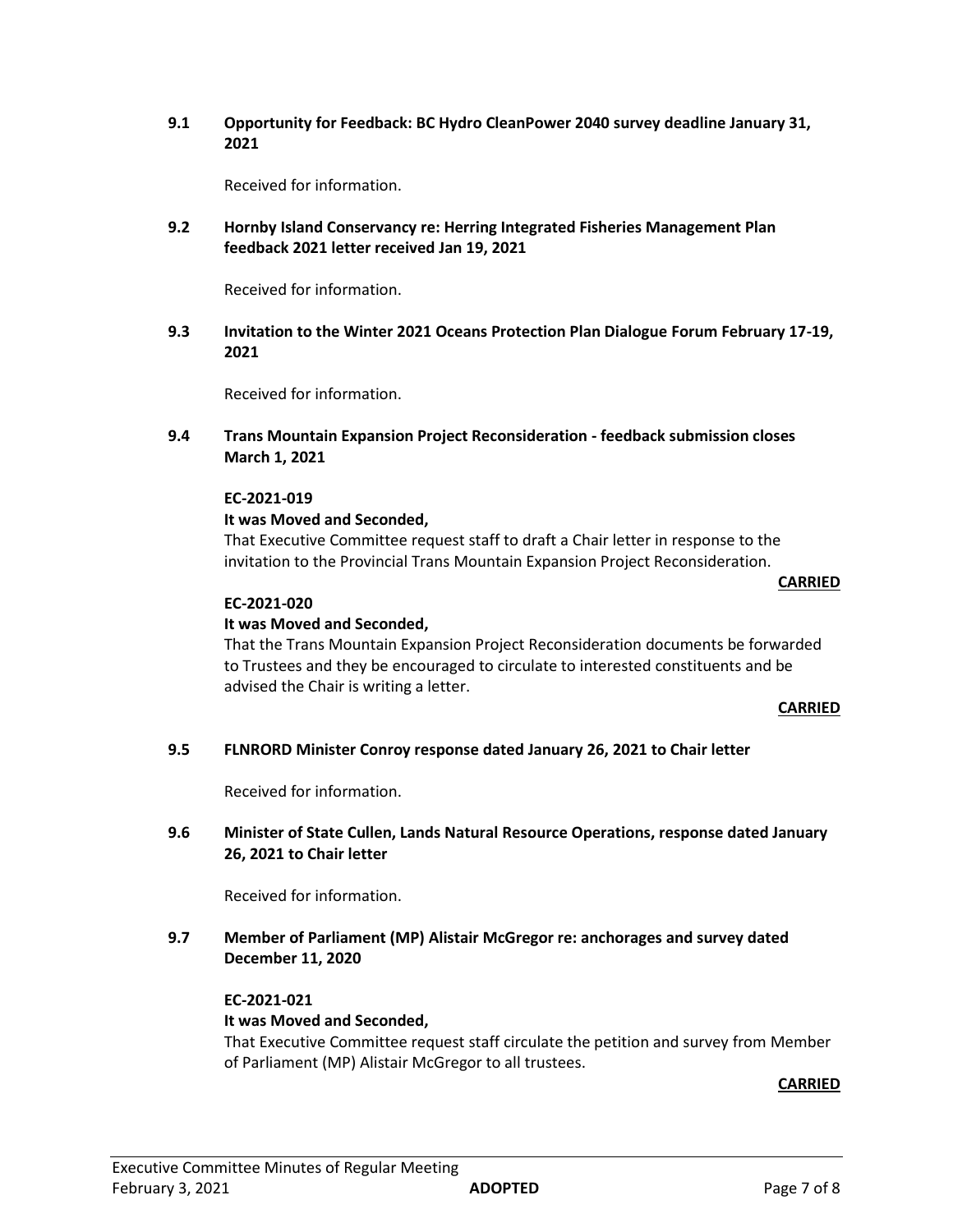**9.1 Opportunity for Feedback: BC Hydro CleanPower 2040 survey deadline January 31, 2021**

Received for information.

**9.2 Hornby Island Conservancy re: Herring Integrated Fisheries Management Plan feedback 2021 letter received Jan 19, 2021**

Received for information.

**9.3 Invitation to the Winter 2021 Oceans Protection Plan Dialogue Forum February 17-19, 2021**

Received for information.

**9.4 Trans Mountain Expansion Project Reconsideration - feedback submission closes March 1, 2021**

#### **EC-2021-019**

#### **It was Moved and Seconded,**

That Executive Committee request staff to draft a Chair letter in response to the invitation to the Provincial Trans Mountain Expansion Project Reconsideration.

**CARRIED**

#### **EC-2021-020**

# **It was Moved and Seconded,**

That the Trans Mountain Expansion Project Reconsideration documents be forwarded to Trustees and they be encouraged to circulate to interested constituents and be advised the Chair is writing a letter.

#### **CARRIED**

# **9.5 FLNRORD Minister Conroy response dated January 26, 2021 to Chair letter**

Received for information.

# **9.6 Minister of State Cullen, Lands Natural Resource Operations, response dated January 26, 2021 to Chair letter**

Received for information.

**9.7 Member of Parliament (MP) Alistair McGregor re: anchorages and survey dated December 11, 2020**

# **EC-2021-021**

# **It was Moved and Seconded,**

That Executive Committee request staff circulate the petition and survey from Member of Parliament (MP) Alistair McGregor to all trustees.

**CARRIED**